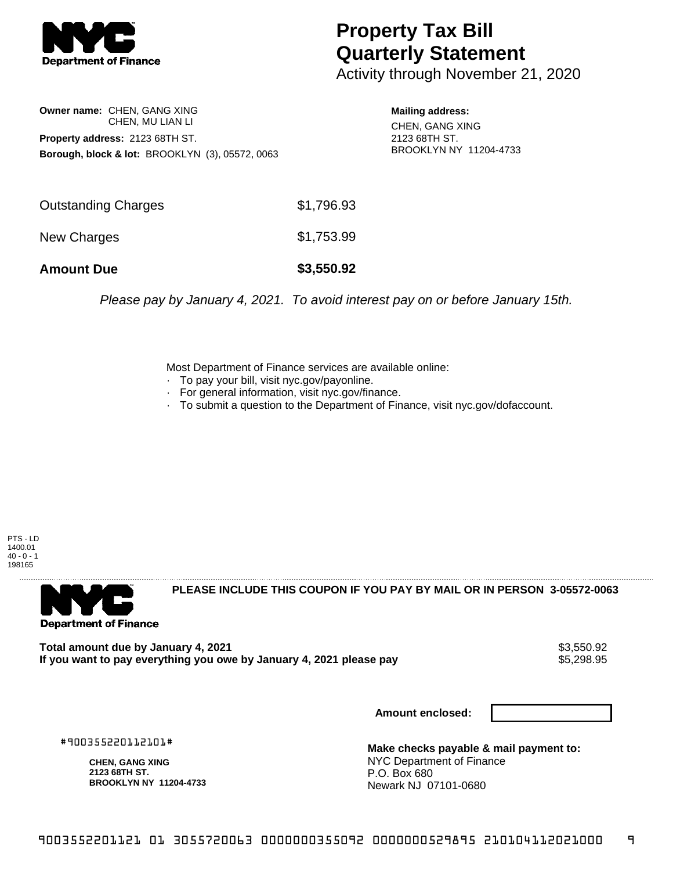

## **Property Tax Bill Quarterly Statement**

Activity through November 21, 2020

**Owner name:** CHEN, GANG XING CHEN, MU LIAN LI **Property address:** 2123 68TH ST. **Borough, block & lot:** BROOKLYN (3), 05572, 0063

**Mailing address:** CHEN, GANG XING 2123 68TH ST. BROOKLYN NY 11204-4733

| <b>Amount Due</b>          | \$3,550.92 |
|----------------------------|------------|
| New Charges                | \$1,753.99 |
| <b>Outstanding Charges</b> | \$1,796.93 |

Please pay by January 4, 2021. To avoid interest pay on or before January 15th.

Most Department of Finance services are available online:

- · To pay your bill, visit nyc.gov/payonline.
- For general information, visit nyc.gov/finance.
- · To submit a question to the Department of Finance, visit nyc.gov/dofaccount.

PTS - LD 1400.01  $40 - 0 - 1$ 198165



**PLEASE INCLUDE THIS COUPON IF YOU PAY BY MAIL OR IN PERSON 3-05572-0063** 

Total amount due by January 4, 2021<br>If you want to pay everything you owe by January 4, 2021 please pay **ship want to pay everything you owe by Janu** If you want to pay everything you owe by January 4, 2021 please pay

**Amount enclosed:**

#900355220112101#

**CHEN, GANG XING 2123 68TH ST. BROOKLYN NY 11204-4733**

**Make checks payable & mail payment to:** NYC Department of Finance P.O. Box 680 Newark NJ 07101-0680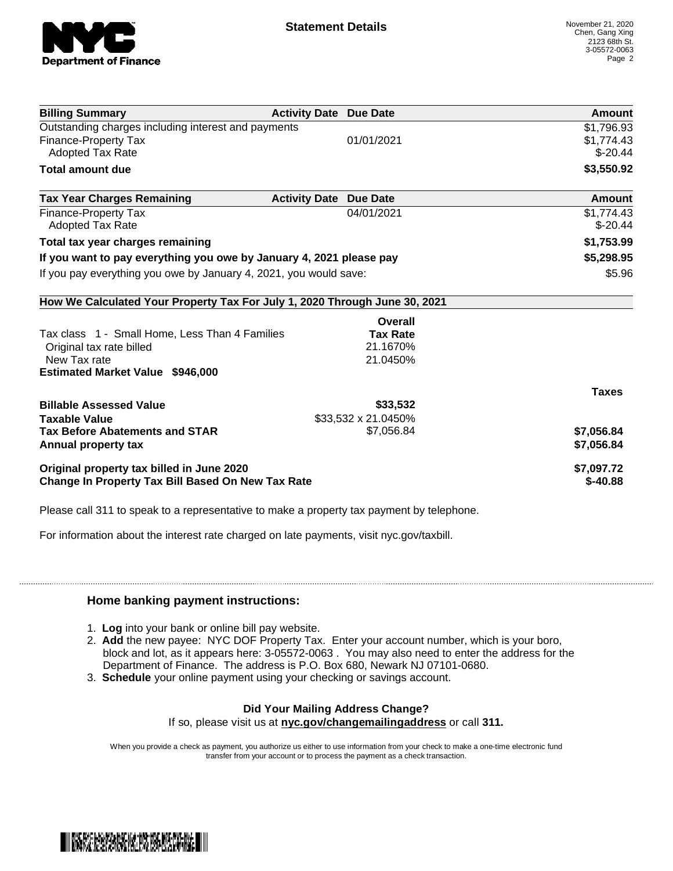

| <b>Billing Summary</b>                                                     | <b>Activity Date Due Date</b> |                     | <b>Amount</b> |
|----------------------------------------------------------------------------|-------------------------------|---------------------|---------------|
| Outstanding charges including interest and payments                        |                               |                     | \$1,796.93    |
| <b>Finance-Property Tax</b>                                                |                               | 01/01/2021          | \$1,774.43    |
| <b>Adopted Tax Rate</b>                                                    |                               |                     | $$ -20.44$    |
| <b>Total amount due</b>                                                    |                               |                     | \$3,550.92    |
| <b>Tax Year Charges Remaining</b>                                          | <b>Activity Date</b>          | <b>Due Date</b>     | Amount        |
| <b>Finance-Property Tax</b>                                                |                               | 04/01/2021          | \$1,774.43    |
| <b>Adopted Tax Rate</b>                                                    |                               |                     | $$-20.44$     |
| Total tax year charges remaining                                           |                               |                     | \$1,753.99    |
| If you want to pay everything you owe by January 4, 2021 please pay        |                               |                     | \$5,298.95    |
| If you pay everything you owe by January 4, 2021, you would save:          |                               |                     | \$5.96        |
| How We Calculated Your Property Tax For July 1, 2020 Through June 30, 2021 |                               |                     |               |
|                                                                            |                               | Overall             |               |
| Tax class 1 - Small Home, Less Than 4 Families                             |                               | <b>Tax Rate</b>     |               |
| Original tax rate billed                                                   |                               | 21.1670%            |               |
| New Tax rate                                                               |                               | 21.0450%            |               |
| <b>Estimated Market Value \$946,000</b>                                    |                               |                     |               |
|                                                                            |                               |                     | <b>Taxes</b>  |
| <b>Billable Assessed Value</b>                                             |                               | \$33,532            |               |
| <b>Taxable Value</b>                                                       |                               | \$33,532 x 21.0450% |               |
| <b>Tax Before Abatements and STAR</b>                                      |                               | \$7,056.84          | \$7,056.84    |
| Annual property tax                                                        |                               |                     | \$7,056.84    |
| Original property tax billed in June 2020                                  |                               |                     | \$7,097.72    |
| Change In Property Tax Bill Based On New Tax Rate                          |                               |                     | $$ -40.88$    |

Please call 311 to speak to a representative to make a property tax payment by telephone.

For information about the interest rate charged on late payments, visit nyc.gov/taxbill.

## **Home banking payment instructions:**

- 1. **Log** into your bank or online bill pay website.
- 2. **Add** the new payee: NYC DOF Property Tax. Enter your account number, which is your boro, block and lot, as it appears here: 3-05572-0063 . You may also need to enter the address for the Department of Finance. The address is P.O. Box 680, Newark NJ 07101-0680.
- 3. **Schedule** your online payment using your checking or savings account.

## **Did Your Mailing Address Change?**

If so, please visit us at **nyc.gov/changemailingaddress** or call **311.**

When you provide a check as payment, you authorize us either to use information from your check to make a one-time electronic fund transfer from your account or to process the payment as a check transaction.